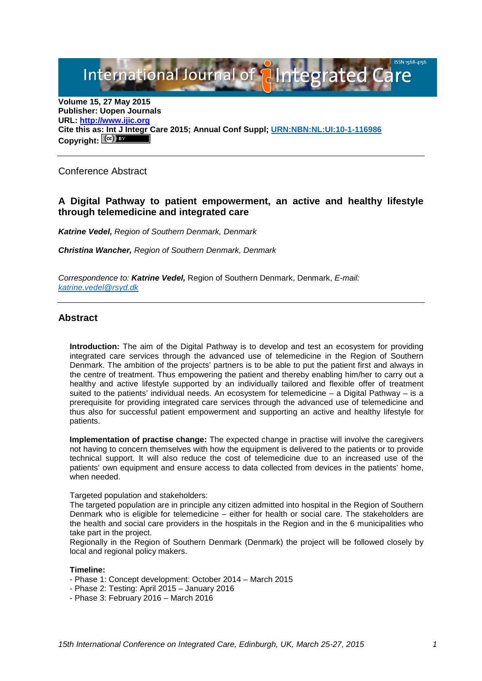International Journal of **Plategrated Care** 

**Volume 15, 27 May 2015 Publisher: Uopen Journals URL: [http://www.ijic.org](http://www.ijic.org/) Cite this a[s: Int J Integr](http://creativecommons.org/licenses/by/3.0/) Care 2015; Annual Conf Suppl; [URN:NBN:NL:UI:10-1-116986](http://persistent-identifier.nl/?identifier=URN:NBN:NL:UI:10-1-116986)** Copyright:  $(Cc)$ 

Conference Abstract

# **A Digital Pathway to patient empowerment, an active and healthy lifestyle through telemedicine and integrated care**

*Katrine Vedel, Region of Southern Denmark, Denmark* 

*Christina Wancher, Region of Southern Denmark, Denmark*

*Correspondence to: Katrine Vedel,* Region of Southern Denmark, Denmark, *E-mail: [katrine.vedel@rsyd.dk](mailto:katrine.vedel@rsyd.dk)*

### **Abstract**

**Introduction:** The aim of the Digital Pathway is to develop and test an ecosystem for providing integrated care services through the advanced use of telemedicine in the Region of Southern Denmark. The ambition of the projects' partners is to be able to put the patient first and always in the centre of treatment. Thus empowering the patient and thereby enabling him/her to carry out a healthy and active lifestyle supported by an individually tailored and flexible offer of treatment suited to the patients' individual needs. An ecosystem for telemedicine – a Digital Pathway – is a prerequisite for providing integrated care services through the advanced use of telemedicine and thus also for successful patient empowerment and supporting an active and healthy lifestyle for patients.

**Implementation of practise change:** The expected change in practise will involve the caregivers not having to concern themselves with how the equipment is delivered to the patients or to provide technical support. It will also reduce the cost of telemedicine due to an increased use of the patients' own equipment and ensure access to data collected from devices in the patients' home, when needed.

Targeted population and stakeholders:

The targeted population are in principle any citizen admitted into hospital in the Region of Southern Denmark who is eligible for telemedicine – either for health or social care. The stakeholders are the health and social care providers in the hospitals in the Region and in the 6 municipalities who take part in the project.

Regionally in the Region of Southern Denmark (Denmark) the project will be followed closely by local and regional policy makers.

#### **Timeline:**

- Phase 1: Concept development: October 2014 March 2015
- Phase 2: Testing: April 2015 January 2016
- Phase 3: February 2016 March 2016